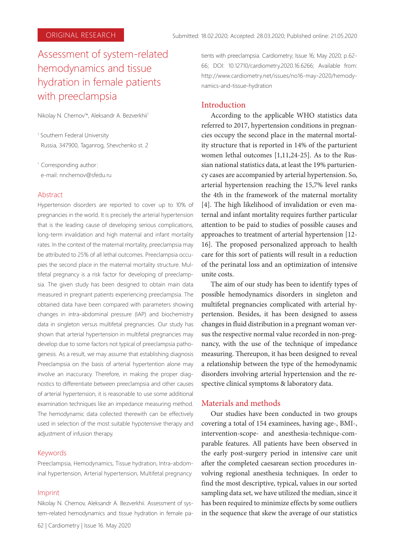# Assessment of system-related hemodynamics and tissue hydration in female patients with preeclampsia

Nikolay N. Chernov<sup>1\*</sup>, Aleksandr A. Bezverkhii<sup>1</sup>

1 Southern Federal University Russia, 347900, Taganrog, Shevchenko st. 2

\* Corresponding author: e-mail: nnchernov@sfedu.ru

#### Abstract

Hypertension disorders are reported to cover up to 10% of pregnancies in the world. It is precisely the arterial hypertension that is the leading cause of developing serious complications, long-term invalidation and high maternal and infant mortality rates. In the context of the maternal mortality, preeclampsia may be attributed to 25% of all lethal outcomes. Preeclampsia occupies the second place in the maternal mortality structure. Multifetal pregnancy is a risk factor for developing of preeclampsia. The given study has been designed to obtain main data measured in pregnant patients experiencing preeclampsia. The obtained data have been compared with parameters showing changes in intra-abdominal pressure (IAP) and biochemistry data in singleton versus multifetal pregnancies. Our study has shown that arterial hypertension in multifetal pregnancies may develop due to some factors not typical of preeclampsia pathogenesis. As a result, we may assume that establishing diagnosis Preeclampsia on the basis of arterial hypertention alone may involve an inaccuracy. Therefore, in making the proper diagnostics to differentiate between preeclampsia and other causes of arterial hypertension, it is reasonable to use some additional examination techniques like an impedance measuring method. The hemodynamic data collected therewith can be effectively used in selection of the most suitable hypotensive therapy and adjustment of infusion therapy.

#### Keywords

Preeclampsia, Hemodynamics, Tissue hydration, Intra-abdominal hypertension, Arterial hypertension, Multifetal pregnancy

#### Imprint

Nikolay N. Chernov, Aleksandr A. Bezverkhii. Assessment of system-related hemodynamics and tissue hydration in female pa-

62 | Cardiometry | Issue 16. May 2020

tients with preeclampsia. Cardiometry; Issue 16; May 2020; р.62- 66; DOI: 10.12710/cardiometry.2020.16.6266; Available from: http://www.cardiometry.net/issues/no16-may-2020/hemodynamics-and-tissue-hydration

## Introduction

According to the applicable WHO statistics data referred to 2017, hypertension conditions in pregnancies occupy the second place in the maternal mortality structure that is reported in 14% of the parturient women lethal outcomes [1,11,24-25]. As to the Russian national statistics data, at least the 19% parturiency cases are accompanied by arterial hypertension. So, arterial hypertension reaching the 15,7% level ranks the 4th in the framework of the maternal mortality [4]. The high likelihood of invalidation or even maternal and infant mortality requires further particular attention to be paid to studies of possible causes and approaches to treatment of arterial hypertension [12- 16]. The proposed personalized approach to health care for this sort of patients will result in a reduction of the perinatal loss and an optimization of intensive unite costs.

The aim of our study has been to identify types of possible hemodynamics disorders in singleton and multifetal pregnancies complicated with arterial hypertension. Besides, it has been designed to assess changes in fluid distribution in a pregnant woman versus the respective normal value recorded in non-pregnancy, with the use of the technique of impedance measuring. Thereupon, it has been designed to reveal a relationship between the type of the hemodynamic disorders involving arterial hypertension and the respective clinical symptoms & laboratory data.

#### Materials and methods

Our studies have been conducted in two groups covering a total of 154 examinees, having age-, BMI-, intervention-scope- and anesthesia-technique-comparable features. All patients have been observed in the early post-surgery period in intensive care unit after the completed caesarean section procedures involving regional anesthesia techniques. In order to find the most descriptive, typical, values in our sorted sampling data set, we have utilized the median, since it has been required to minimize effects by some outliers in the sequence that skew the average of our statistics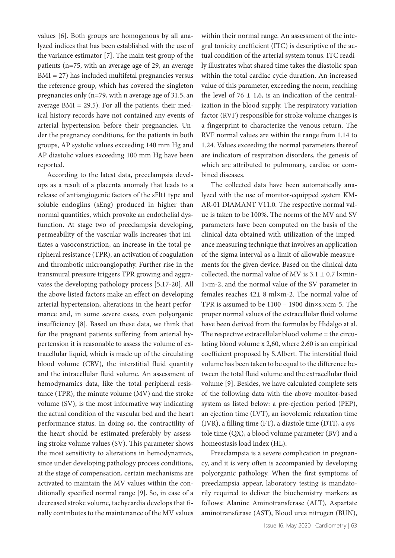values [6]. Both groups are homogenous by all analyzed indices that has been established with the use of the variance estimator [7]. The main test group of the patients (n=75, with an average age of 29, an average BMI = 27) has included multifetal pregnancies versus the reference group, which has covered the singleton pregnancies only (n=79, with n average age of 31.5, an average  $BMI = 29.5)$ . For all the patients, their medical history records have not contained any events of arterial hypertension before their pregnancies. Under the pregnancy conditions, for the patients in both groups, AP systolic values exceeding 140 mm Hg and AP diastolic values exceeding 100 mm Hg have been reported.

Aссording to the latest data, preeclampsia develops as a result of a placenta anomaly that leads to a release of antiangiogenic factors of the sFlt1 type and soluble endoglins (sEng) produced in higher than normal quantities, which provoke an endothelial dysfunction. At stage two of preeclampsia developing, permeability of the vascular walls increases that initiates a vasoconstriction, an increase in the total peripheral resistance (TPR), an activation of coagulation and thrombotic microangiopathy. Further rise in the transmural pressure triggers TPR growing and aggravates the developing pathology process [5,17-20]. All the above listed factors make an effect on developing arterial hypertension, alterations in the heart performance and, in some severe cases, even polyorganic insufficiency [8]. Based on these data, we think that for the pregnant patients suffering from arterial hypertension it is reasonable to assess the volume of extracellular liquid, which is made up of the circulating blood volume (CBV), the interstitial fluid quantity and the intracellular fluid volume. An assessment of hemodynamics data, like the total peripheral resistance (TPR), the minute volume (MV) and the stroke volume (SV), is the most informative way indicating the actual condition of the vascular bed and the heart performance status. In doing so, the contractility of the heart should be estimated preferably by assessing stroke volume values (SV). This parameter shows the most sensitivity to alterations in hemodynamics, since under developing pathology process conditions, at the stage of compensation, certain mechanisms are activated to maintain the MV values within the conditionally specified normal range [9]. So, in case of a decreased stroke volume, tachycardia develops that finally contributes to the maintenance of the MV values

within their normal range. An assessment of the integral tonicity coefficient (ITC) is descriptive of the actual condition of the arterial system tonus. ITC readily illustrates what shared time takes the diastolic span within the total cardiac cycle duration. An increased value of this parameter, exceeding the norm, reaching the level of 76  $\pm$  1,6, is an indication of the centralization in the blood supply. The respiratory variation factor (RVF) responsible for stroke volume changes is a fingerprint to characterize the venous return. The RVF normal values are within the range from 1.14 to 1.24. Values exceeding the normal parameters thereof are indicators of respiration disorders, the genesis of which are attributed to pulmonary, cardiac or combined diseases.

The collected data have been automatically analyzed with the use of monitor-equipped system KM-AR-01 DIAMANT V11.0. The respective normal value is taken to be 100%. The norms of the MV and SV parameters have been computed on the basis of the clinical data obtained with utilization of the impedance measuring technique that involves an application of the sigma interval as a limit of allowable measurements for the given device. Based on the clinical data collected, the normal value of MV is  $3.1 \pm 0.7$  l×min-1×m-2, and the normal value of the SV parameter in females reaches  $42 \pm 8$  ml $\times$ m-2. The normal value of TPR is assumed to be 1100 – 1900 din×s.×cm-5. The proper normal values of the extracellular fluid volume have been derived from the formulas by Hidalgo at al. The respective extracellular blood volume = the circulating blood volume x 2,60, where 2.60 is an empirical coefficient proposed by S.Albert. The interstitial fluid volume has been taken to be equal to the difference between the total fluid volume and the extracellular fluid volume [9]. Besides, we have calculated complete sets of the following data with the above monitor-based system as listed below: a pre-ejection period (PEP), an ejection time (LVT), an isovolemic relaxation time (IVR), a filling time (FT), a diastole time (DTI), a systole time (QX), a blood volume parameter (BV) and a homeostasis load index (HL).

Preeclampsia is a severe complication in pregnancy, and it is very often is accompanied by developing polyorganic pathology. When the first symptoms of preeclampsia appear, laboratory testing is mandatorily required to deliver the biochemistry markers as follows: Alanine Aminotransferase (ALT), Aspartate aminotransferase (AST), Blood urea nitrogen (BUN),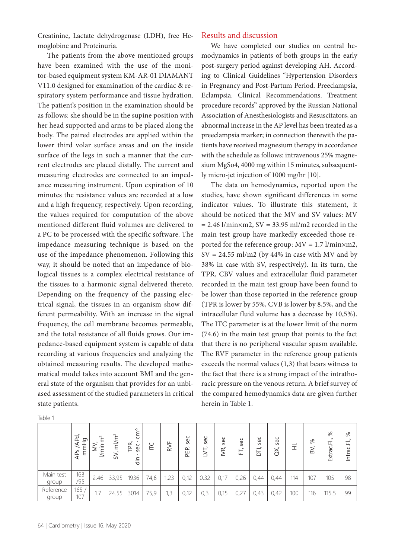Creatinine, Lactate dehydrogenase (LDH), free Hemoglobine and Proteinuria.

The patients from the above mentioned groups have been examined with the use of the monitor-based equipment system KM-AR-01 DIAMANT V11.0 designed for examination of the cardiac & respiratory system performance and tissue hydration. The patient's position in the examination should be as follows: she should be in the supine position with her head supported and arms to be placed along the body. The paired electrodes are applied within the lower third volar surface areas and on the inside surface of the legs in such a manner that the current electrodes are placed distally. The current and measuring electrodes are connected to an impedance measuring instrument. Upon expiration of 10 minutes the resistance values are recorded at a low and a high frequency, respectively. Upon recording, the values required for computation of the above mentioned different fluid volumes are delivered to a PC to be processed with the specific software. The impedance measuring technique is based on the use of the impedance phenomenon. Following this way, it should be noted that an impedance of biological tissues is a complex electrical resistance of the tissues to a harmonic signal delivered thereto. Depending on the frequency of the passing electrical signal, the tissues in an organism show different permeability. With an increase in the signal frequency, the cell membrane becomes permeable, and the total resistance of all fluids grows. Our impedance-based equipment system is capable of data recording at various frequencies and analyzing the obtained measuring results. The developed mathematical model takes into account BMI and the general state of the organism that provides for an unbiased assessment of the studied parameters in critical state patients.

We have completed our studies on central hemodynamics in patients of both groups in the early post-surgery period against developing AH. According to Clinical Guidelines "Hypertension Disorders in Pregnancy and Post-Partum Period. Preeclampsia, Eclampsia. Clinical Recommendations. Treatment procedure records" approved by the Russian National Association of Anesthesiologists and Resuscitators, an abnormal increase in the AP level has been treated as a preeclampsia marker; in connection therewith the patients have received magnesium therapy in accordance with the schedule as follows: intravenous 25% magnesium MgSo4, 4000 mg within 15 minutes, subsequently micro-jet injection of 1000 mg/hr [10].

The data on hemodynamics, reported upon the studies, have shown significant differences in some indicator values. To illustrate this statement, it should be noticed that the MV and SV values: MV  $= 2.46$  l/min $\times$ m2, SV = 33.95 ml/m2 recorded in the main test group have markedly exceeded those reported for the reference group:  $MV = 1.7$  l/min $\times$ m2,  $SV = 24.55$  ml/m2 (by 44% in case with MV and by 38% in case with SV, respectively). In its turn, the TPR, CBV values and extracellular fluid parameter recorded in the main test group have been found to be lower than those reported in the reference group (TPR is lower by 55%, CVB is lower by 8,5%, and the intracellular fluid volume has a decrease by 10,5%). The ITC parameter is at the lower limit of the norm (74.6) in the main test group that points to the fact that there is no peripheral vascular spasm available. The RVF parameter in the reference group patients exceeds the normal values (1,3) that bears witness to the fact that there is a strong impact of the intrathoracic pressure on the venous return. A brief survey of the compared hemodynamics data are given further herein in Table 1.

|                    | APd,<br>mmHg<br>S<br>$\ddot{\mathsf{a}}$ | $\widetilde{\mathsf{F}}^2$<br>$\geqq$<br>$\frac{1}{2}$<br>≥ | ml/m <sup>2</sup><br>SV, | rÙ.<br>ξ<br>Æ<br>sec<br>⊢<br>ain | E    | RVF  | sec<br><b>PEP</b> | sec  | sec<br>IYR, | sec<br>日 | sec<br>БÏ, | sec<br>$\breve{\alpha}$ | Ξ   | %<br>BV, | $\aleph$<br>$\ddot{\phantom{1}}$<br>Extrac.Fl | ೫<br>$\mathbf{L}$<br>Intrac. |
|--------------------|------------------------------------------|-------------------------------------------------------------|--------------------------|----------------------------------|------|------|-------------------|------|-------------|----------|------------|-------------------------|-----|----------|-----------------------------------------------|------------------------------|
| Main test<br>group | 163<br>/95                               | 2.46                                                        | 33,95                    | 1936                             | 74,6 | 1,23 | 0,12              | 0,32 | 0,17        | 0,26     | 0,44       | 0,44                    | 114 | 107      | 105                                           | 98                           |
| Reference<br>group | 165/<br>107                              | 1.7                                                         | 24.55                    | 3014                             | 75,9 | 1,3  | 0,12              | 0,3  | 0,15        | 0,27     | 0,43       | 0,42                    | 100 | 116      | 115.5                                         | 99                           |

Table 1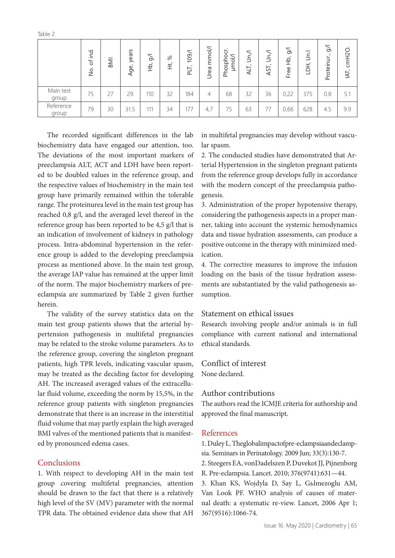|                    | bu.<br>$\sigma$<br>$\cdot$<br>е<br>З | $\geq$ | S<br>ᅩ<br>yea<br>Age, | $\geqslant$<br>운 | $\aleph$<br>₽ | 109/<br>$\overline{\phantom{0}}$<br>⊢.<br>ᄒ | mmol/l<br>Urea | ৳<br>O<br>O<br>Phosph<br>É | Jn./<br>$\overline{\phantom{a}}$<br>TIA | Ś<br>$\overline{\phantom{0}}$<br>⊢<br>ŠÞ | $\overline{5}$<br>웊<br>Free | $\Box$<br>$\div$<br>ᅩ<br>$\Box$ | $\geq$<br>$\overline{\phantom{0}}$<br>Proteinur. | cmH <sub>2</sub> O.<br>$\overline{\phantom{a}}$<br>것 |
|--------------------|--------------------------------------|--------|-----------------------|------------------|---------------|---------------------------------------------|----------------|----------------------------|-----------------------------------------|------------------------------------------|-----------------------------|---------------------------------|--------------------------------------------------|------------------------------------------------------|
| Main test<br>group | 75                                   | 27     | 29                    | 110              | 32            | 184                                         | 4              | 68                         | 32                                      | 36                                       | 0,22                        | 375                             | 0.8                                              | 5.1                                                  |
| Reference<br>group | 79                                   | 30     | 31.5                  | 111              | 34            | 177                                         | 4,7            | 75                         | 63                                      | 77                                       | 0,66                        | 628                             | 4.5                                              | 9.9                                                  |

The recorded significant differences in the lab biochemistry data have engaged our attention, too. The deviations of the most important markers of preeclampsia ALT, ACT and LDH have been reported to be doubled values in the reference group, and the respective values of biochemistry in the main test group have primarily remained within the tolerable range. The proteinurea level in the main test group has reached 0,8 g/l, and the averaged level thereof in the reference group has been reported to be 4,5 g/l that is an indication of involvement of kidneys in pathology process. Intra-abdominal hypertension in the reference group is added to the developing preeclampsia process as mentioned above. In the main test group, the average IAP value has remained at the upper limit of the norm. The major biochemistry markers of preeclampsia are summarized by Table 2 given further herein.

The validity of the survey statistics data on the main test group patients shows that the arterial hypertension pathogenesis in multifetal pregnancies may be related to the stroke volume parameters. As to the reference group, covering the singleton pregnant patients, high TPR levels, indicating vascular spasm, may be treated as the deciding factor for developing AH. The increased averaged values of the extracellular fluid volume, exceeding the norm by 15,5%, in the reference group patients with singleton pregnancies demonstrate that there is an increase in the interstitial fluid volume that may partly explain the high averaged BMI valves of the mentioned patients that is manifested by pronounced edema cases.

## **Conclusions**

1. With respect to developing AH in the main test group covering multifetal pregnancies, attention should be drawn to the fact that there is a relatively high level of the SV (MV) parameter with the normal TPR data. The obtained evidence data show that AH

in multifetal pregnancies may develop without vascular spasm.

2. The conducted studies have demonstrated that Arterial Hypertension in the singleton pregnant patients from the reference group develops fully in accordance with the modern concept of the preeclampsia pathogenesis.

3. Administration of the proper hypotensive therapy, considering the pathogenesis aspects in a proper manner, taking into account the systemic hemodynamics data and tissue hydration assessments, can produce a positive outcome in the therapy with minimized medication.

4. The corrective measures to improve the infusion loading on the basis of the tissue hydration assessments are substantiated by the valid pathogenesis assumption.

## Statement on ethical issues

Research involving people and/or animals is in full compliance with current national and international ethical standards.

# Conflict of interest

None declared.

## Author contributions

The authors read the ICMJE criteria for authorship and approved the final manuscript.

## References

1. Duley L. Theglobalimpactofpre-eclampsiaandeclampsia. Seminars in Perinatology. 2009 Jun; 33(3):130-7.

2. Steegers EA, vonDadelszen P, Duvekot JJ, Pijnenborg R. Pre-eclampsia. Lancet. 2010; 376(9741):631—44.

3. Khan KS, Wojdyla D, Say L, Gьlmezoglu AM, Van Look PF. WHO analysis of causes of maternal death: a systematic re-view. Lancet, 2006 Apr 1; 367(9516):1066-74.